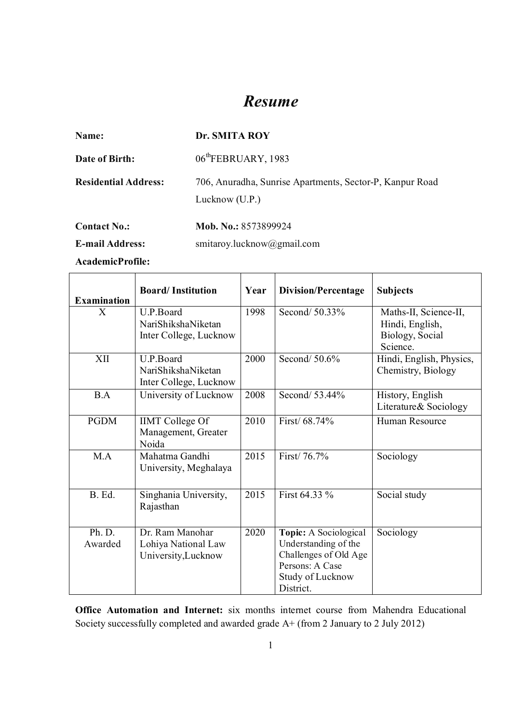# *Resume*

| Name:                       | Dr. SMITA ROY                                                              |  |  |
|-----------------------------|----------------------------------------------------------------------------|--|--|
| Date of Birth:              | 06 <sup>th</sup> FEBRUARY, 1983                                            |  |  |
| <b>Residential Address:</b> | 706, Anuradha, Sunrise Apartments, Sector-P, Kanpur Road<br>Lucknow (U.P.) |  |  |
| <b>Contact No.:</b>         | Mob. No.: 8573899924                                                       |  |  |
| <b>E-mail Address:</b>      | smitaroy.lucknow@gmail.com                                                 |  |  |

**AcademicProfile:**

| <b>Examination</b> | <b>Board/Institution</b>                                      | Year | <b>Division/Percentage</b>                                                                                                 | <b>Subjects</b>                                                         |
|--------------------|---------------------------------------------------------------|------|----------------------------------------------------------------------------------------------------------------------------|-------------------------------------------------------------------------|
| X                  | U.P.Board<br>NariShikshaNiketan<br>Inter College, Lucknow     | 1998 | Second/ 50.33%                                                                                                             | Maths-II, Science-II,<br>Hindi, English,<br>Biology, Social<br>Science. |
| XII                | U.P.Board<br>NariShikshaNiketan<br>Inter College, Lucknow     | 2000 | Second/ 50.6%                                                                                                              | Hindi, English, Physics,<br>Chemistry, Biology                          |
| B.A                | University of Lucknow                                         | 2008 | Second/ 53.44%                                                                                                             | History, English<br>Literature & Sociology                              |
| <b>PGDM</b>        | <b>IIMT</b> College Of<br>Management, Greater<br>Noida        | 2010 | First/ 68.74%                                                                                                              | Human Resource                                                          |
| M.A                | Mahatma Gandhi<br>University, Meghalaya                       | 2015 | First/ 76.7%                                                                                                               | Sociology                                                               |
| B. Ed.             | Singhania University,<br>Rajasthan                            | 2015 | First 64.33 %                                                                                                              | Social study                                                            |
| Ph. D.<br>Awarded  | Dr. Ram Manohar<br>Lohiya National Law<br>University, Lucknow | 2020 | Topic: A Sociological<br>Understanding of the<br>Challenges of Old Age<br>Persons: A Case<br>Study of Lucknow<br>District. | Sociology                                                               |

**Office Automation and Internet:** six months internet course from Mahendra Educational Society successfully completed and awarded grade A+ (from 2 January to 2 July 2012)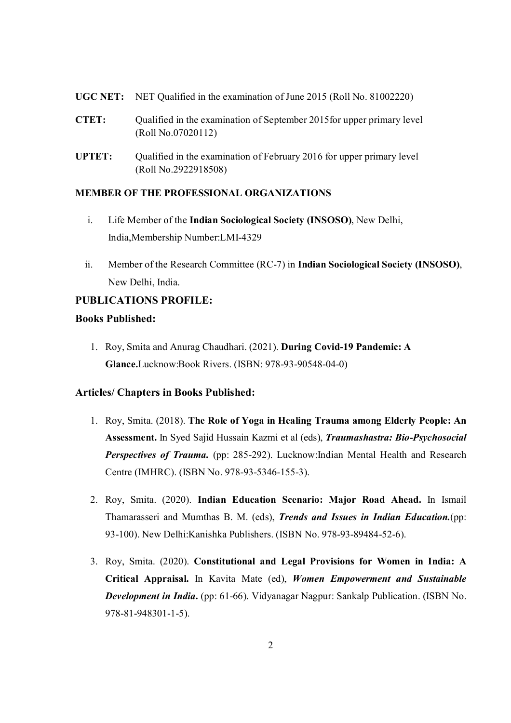- **UGC NET:** NET Qualified in the examination of June 2015 (Roll No. 81002220)
- **CTET:** Qualified in the examination of September 2015for upper primary level (Roll No.07020112)
- **UPTET:** Qualified in the examination of February 2016 for upper primary level (Roll No.2922918508)

#### **MEMBER OF THE PROFESSIONAL ORGANIZATIONS**

- i. Life Member of the **Indian Sociological Society (INSOSO)**, New Delhi, India,Membership Number:LMI-4329
- ii. Member of the Research Committee (RC-7) in **Indian Sociological Society (INSOSO)**, New Delhi, India.

## **PUBLICATIONS PROFILE:**

## **Books Published:**

1. Roy, Smita and Anurag Chaudhari. (2021). **During Covid-19 Pandemic: A Glance.**Lucknow:Book Rivers. (ISBN: 978-93-90548-04-0)

## **Articles/ Chapters in Books Published:**

- 1. Roy, Smita. (2018). **The Role of Yoga in Healing Trauma among Elderly People: An Assessment.** In Syed Sajid Hussain Kazmi et al (eds), *Traumashastra: Bio-Psychosocial Perspectives of Trauma.* (pp: 285-292). Lucknow: Indian Mental Health and Research Centre (IMHRC). (ISBN No. 978-93-5346-155-3).
- 2. Roy, Smita. (2020). **Indian Education Scenario: Major Road Ahead.** In Ismail Thamarasseri and Mumthas B. M. (eds), *Trends and Issues in Indian Education.*(pp: 93-100). New Delhi:Kanishka Publishers. (ISBN No. 978-93-89484-52-6).
- 3. Roy, Smita. (2020). **Constitutional and Legal Provisions for Women in India: A Critical Appraisal.** In Kavita Mate (ed), *Women Empowerment and Sustainable Development in India*. (pp: 61-66). Vidyanagar Nagpur: Sankalp Publication. (ISBN No. 978-81-948301-1-5).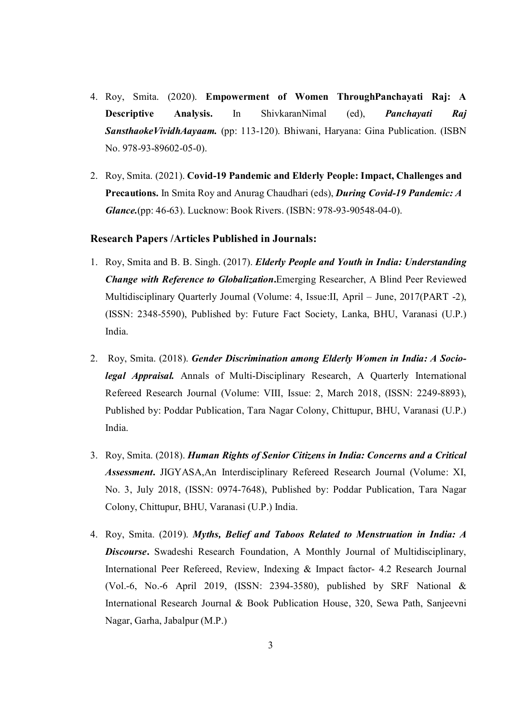- 4. Roy, Smita. (2020). **Empowerment of Women ThroughPanchayati Raj: A Descriptive Analysis.** In ShivkaranNimal (ed), *Panchayati Raj SansthaokeVividhAayaam.* (pp: 113-120). Bhiwani, Haryana: Gina Publication. (ISBN No. 978-93-89602-05-0).
- 2. Roy, Smita. (2021). **Covid-19 Pandemic and Elderly People: Impact, Challenges and Precautions.** In Smita Roy and Anurag Chaudhari (eds), *During Covid-19 Pandemic: A Glance.*(pp: 46-63). Lucknow: Book Rivers. (ISBN: 978-93-90548-04-0).

#### **Research Papers /Articles Published in Journals:**

- 1. Roy, Smita and B. B. Singh. (2017). *Elderly People and Youth in India: Understanding Change with Reference to Globalization***.**Emerging Researcher, A Blind Peer Reviewed Multidisciplinary Quarterly Journal (Volume: 4, Issue:II, April – June, 2017(PART -2), (ISSN: 2348-5590), Published by: Future Fact Society, Lanka, BHU, Varanasi (U.P.) India.
- 2. Roy, Smita. (2018). *Gender Discrimination among Elderly Women in India: A Sociolegal Appraisal.* Annals of Multi-Disciplinary Research, A Quarterly International Refereed Research Journal (Volume: VIII, Issue: 2, March 2018, (ISSN: 2249-8893), Published by: Poddar Publication, Tara Nagar Colony, Chittupur, BHU, Varanasi (U.P.) India.
- 3. Roy, Smita. (2018). *Human Rights of Senior Citizens in India: Concerns and a Critical Assessment***.** JIGYASA,An Interdisciplinary Refereed Research Journal (Volume: XI, No. 3, July 2018, (ISSN: 0974-7648), Published by: Poddar Publication, Tara Nagar Colony, Chittupur, BHU, Varanasi (U.P.) India.
- 4. Roy, Smita. (2019). *Myths, Belief and Taboos Related to Menstruation in India: A Discourse***.** Swadeshi Research Foundation, A Monthly Journal of Multidisciplinary, International Peer Refereed, Review, Indexing & Impact factor- 4.2 Research Journal (Vol.-6, No.-6 April 2019, (ISSN: 2394-3580), published by SRF National & International Research Journal & Book Publication House, 320, Sewa Path, Sanjeevni Nagar, Garha, Jabalpur (M.P.)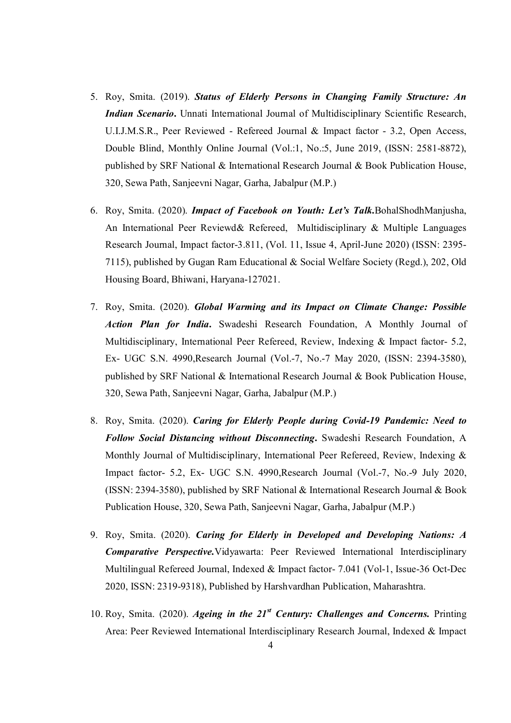- 5. Roy, Smita. (2019). *Status of Elderly Persons in Changing Family Structure: An Indian Scenario***.** Unnati International Journal of Multidisciplinary Scientific Research, U.I.J.M.S.R., Peer Reviewed - Refereed Journal & Impact factor - 3.2, Open Access, Double Blind, Monthly Online Journal (Vol.:1, No.:5, June 2019, (ISSN: 2581-8872), published by SRF National & International Research Journal & Book Publication House, 320, Sewa Path, Sanjeevni Nagar, Garha, Jabalpur (M.P.)
- 6. Roy, Smita. (2020). *Impact of Facebook on Youth: Let's Talk.*BohalShodhManjusha, An International Peer Reviewd& Refereed, Multidisciplinary & Multiple Languages Research Journal, Impact factor-3.811, (Vol. 11, Issue 4, April-June 2020) (ISSN: 2395- 7115), published by Gugan Ram Educational & Social Welfare Society (Regd.), 202, Old Housing Board, Bhiwani, Haryana-127021.
- 7. Roy, Smita. (2020). *Global Warming and its Impact on Climate Change: Possible Action Plan for India***.** Swadeshi Research Foundation, A Monthly Journal of Multidisciplinary, International Peer Refereed, Review, Indexing & Impact factor- 5.2, Ex- UGC S.N. 4990,Research Journal (Vol.-7, No.-7 May 2020, (ISSN: 2394-3580), published by SRF National & International Research Journal & Book Publication House, 320, Sewa Path, Sanjeevni Nagar, Garha, Jabalpur (M.P.)
- 8. Roy, Smita. (2020). *Caring for Elderly People during Covid-19 Pandemic: Need to Follow Social Distancing without Disconnecting***.** Swadeshi Research Foundation, A Monthly Journal of Multidisciplinary, International Peer Refereed, Review, Indexing & Impact factor- 5.2, Ex- UGC S.N. 4990,Research Journal (Vol.-7, No.-9 July 2020, (ISSN: 2394-3580), published by SRF National & International Research Journal & Book Publication House, 320, Sewa Path, Sanjeevni Nagar, Garha, Jabalpur (M.P.)
- 9. Roy, Smita. (2020). *Caring for Elderly in Developed and Developing Nations: A Comparative Perspective.*Vidyawarta: Peer Reviewed International Interdisciplinary Multilingual Refereed Journal, Indexed & Impact factor- 7.041 (Vol-1, Issue-36 Oct-Dec 2020, ISSN: 2319-9318), Published by Harshvardhan Publication, Maharashtra.
- 10. Roy, Smita. (2020). *Ageing in the 21st Century: Challenges and Concerns.* Printing Area: Peer Reviewed International Interdisciplinary Research Journal, Indexed & Impact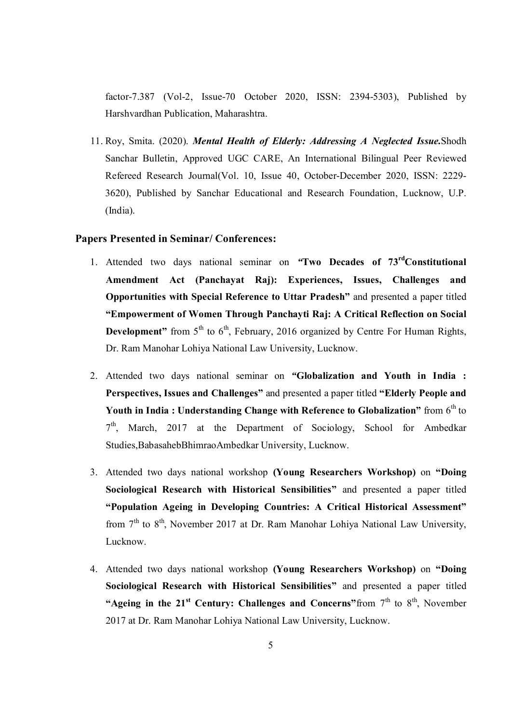factor-7.387 (Vol-2, Issue-70 October 2020, ISSN: 2394-5303), Published by Harshvardhan Publication, Maharashtra.

11. Roy, Smita. (2020). *Mental Health of Elderly: Addressing A Neglected Issue.*Shodh Sanchar Bulletin, Approved UGC CARE, An International Bilingual Peer Reviewed Refereed Research Journal(Vol. 10, Issue 40, October-December 2020, ISSN: 2229- 3620), Published by Sanchar Educational and Research Foundation, Lucknow, U.P. (India).

#### **Papers Presented in Seminar/ Conferences:**

- 1. Attended two days national seminar on *"***Two Decades of 73rdConstitutional Amendment Act (Panchayat Raj): Experiences, Issues, Challenges and Opportunities with Special Reference to Uttar Pradesh"** and presented a paper titled **"Empowerment of Women Through Panchayti Raj: A Critical Reflection on Social Development**" from 5<sup>th</sup> to 6<sup>th</sup>, February, 2016 organized by Centre For Human Rights, Dr. Ram Manohar Lohiya National Law University, Lucknow.
- 2. Attended two days national seminar on *"***Globalization and Youth in India : Perspectives, Issues and Challenges"** and presented a paper titled **"Elderly People and Youth in India : Understanding Change with Reference to Globalization"** from  $6^{\text{th}}$  to 7<sup>th</sup>, March, 2017 at the Department of Sociology, School for Ambedkar Studies,BabasahebBhimraoAmbedkar University, Lucknow.
- 3. Attended two days national workshop **(Young Researchers Workshop)** on **"Doing Sociological Research with Historical Sensibilities"** and presented a paper titled **"Population Ageing in Developing Countries: A Critical Historical Assessment"**  from  $7<sup>th</sup>$  to  $8<sup>th</sup>$ , November 2017 at Dr. Ram Manohar Lohiya National Law University, Lucknow.
- 4. Attended two days national workshop **(Young Researchers Workshop)** on **"Doing Sociological Research with Historical Sensibilities"** and presented a paper titled "Ageing in the  $21<sup>st</sup>$  Century: Challenges and Concerns" from  $7<sup>th</sup>$  to  $8<sup>th</sup>$ . November 2017 at Dr. Ram Manohar Lohiya National Law University, Lucknow.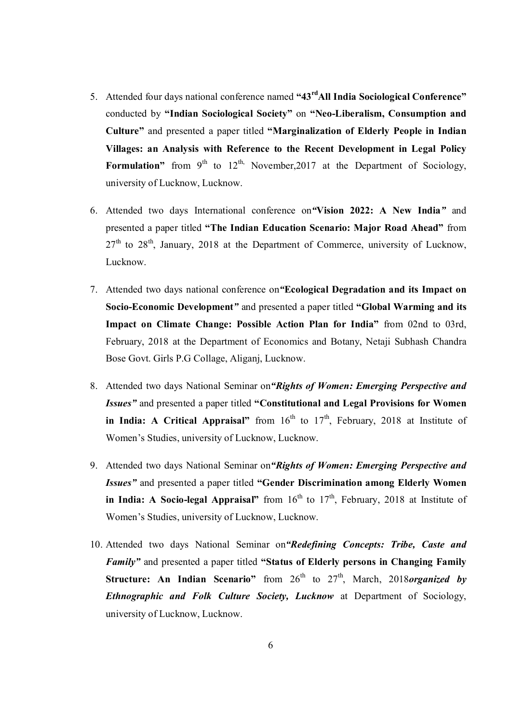- 5. Attended four days national conference named **"43rdAll India Sociological Conference"**  conducted by **"Indian Sociological Society"** on **"Neo-Liberalism, Consumption and Culture"** and presented a paper titled **"Marginalization of Elderly People in Indian Villages: an Analysis with Reference to the Recent Development in Legal Policy Formulation**" from  $9^{th}$  to  $12^{th}$ , November, 2017 at the Department of Sociology, university of Lucknow, Lucknow.
- 6. Attended two days International conference on*"***Vision 2022: A New India***"* and presented a paper titled **"The Indian Education Scenario: Major Road Ahead"** from  $27<sup>th</sup>$  to  $28<sup>th</sup>$ , January, 2018 at the Department of Commerce, university of Lucknow, Lucknow.
- 7. Attended two days national conference on*"***Ecological Degradation and its Impact on Socio-Economic Development***"* and presented a paper titled **"Global Warming and its Impact on Climate Change: Possible Action Plan for India"** from 02nd to 03rd, February, 2018 at the Department of Economics and Botany, Netaji Subhash Chandra Bose Govt. Girls P.G Collage, Aliganj, Lucknow.
- 8. Attended two days National Seminar on*"Rights of Women: Emerging Perspective and Issues"* and presented a paper titled **"Constitutional and Legal Provisions for Women**  in India: A Critical Appraisal" from 16<sup>th</sup> to 17<sup>th</sup>, February, 2018 at Institute of Women's Studies, university of Lucknow, Lucknow.
- 9. Attended two days National Seminar on*"Rights of Women: Emerging Perspective and Issues"* and presented a paper titled **"Gender Discrimination among Elderly Women in India: A Socio-legal Appraisal"** from 16<sup>th</sup> to 17<sup>th</sup>, February, 2018 at Institute of Women's Studies, university of Lucknow, Lucknow.
- 10. Attended two days National Seminar on*"Redefining Concepts: Tribe, Caste and Family"* and presented a paper titled **"Status of Elderly persons in Changing Family Structure: An Indian Scenario**" from 26<sup>th</sup> to 27<sup>th</sup>, March, 2018*organized by Ethnographic and Folk Culture Society, Lucknow* at Department of Sociology, university of Lucknow, Lucknow.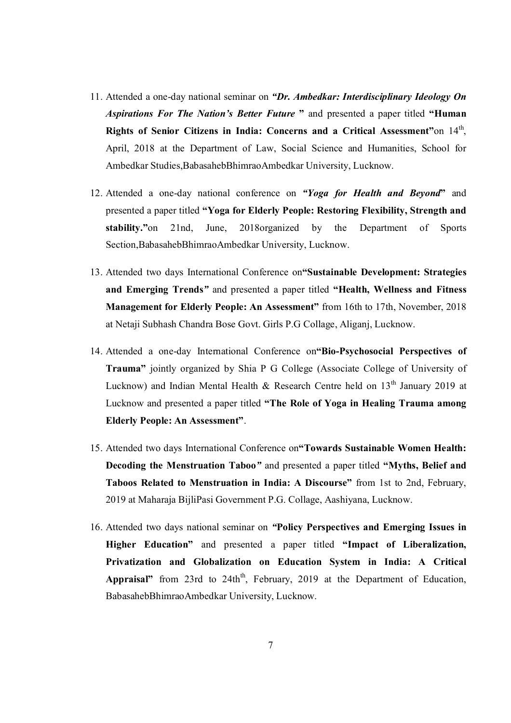- 11. Attended a one-day national seminar on *"Dr. Ambedkar: Interdisciplinary Ideology On Aspirations For The Nation's Better Future* **"** and presented a paper titled **"Human**  Rights of Senior Citizens in India: Concerns and a Critical Assessment"on 14<sup>th</sup>, April, 2018 at the Department of Law, Social Science and Humanities, School for Ambedkar Studies,BabasahebBhimraoAmbedkar University, Lucknow.
- 12. Attended a one-day national conference on *"Yoga for Health and Beyond***"** and presented a paper titled **"Yoga for Elderly People: Restoring Flexibility, Strength and stability."**on 21nd, June, 2018organized by the Department of Sports Section,BabasahebBhimraoAmbedkar University, Lucknow.
- 13. Attended two days International Conference on**"Sustainable Development: Strategies and Emerging Trends***"* and presented a paper titled **"Health, Wellness and Fitness Management for Elderly People: An Assessment"** from 16th to 17th, November, 2018 at Netaji Subhash Chandra Bose Govt. Girls P.G Collage, Aliganj, Lucknow.
- 14. Attended a one-day International Conference on**"Bio-Psychosocial Perspectives of Trauma"** jointly organized by Shia P G College (Associate College of University of Lucknow) and Indian Mental Health & Research Centre held on  $13<sup>th</sup>$  January 2019 at Lucknow and presented a paper titled **"The Role of Yoga in Healing Trauma among Elderly People: An Assessment"**.
- 15. Attended two days International Conference on**"Towards Sustainable Women Health: Decoding the Menstruation Taboo***"* and presented a paper titled **"Myths, Belief and Taboos Related to Menstruation in India: A Discourse"** from 1st to 2nd, February, 2019 at Maharaja BijliPasi Government P.G. Collage, Aashiyana, Lucknow.
- 16. Attended two days national seminar on *"***Policy Perspectives and Emerging Issues in Higher Education"** and presented a paper titled **"Impact of Liberalization, Privatization and Globalization on Education System in India: A Critical**  Appraisal" from 23rd to 24th<sup>th</sup>, February, 2019 at the Department of Education, BabasahebBhimraoAmbedkar University, Lucknow.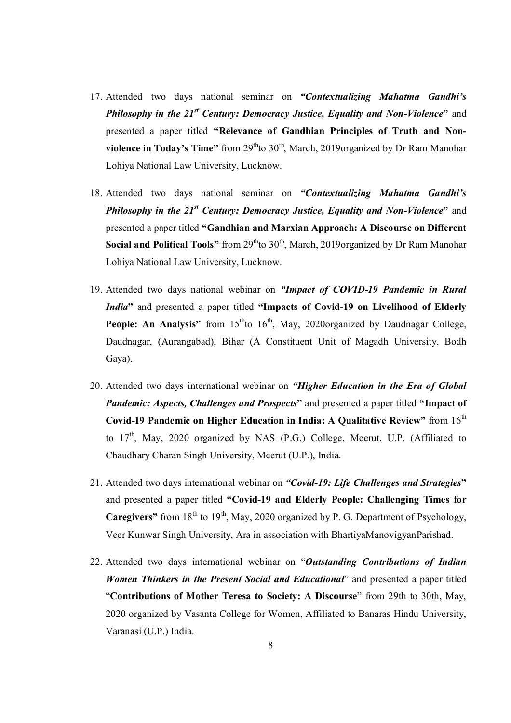- 17. Attended two days national seminar on *"Contextualizing Mahatma Gandhi's Philosophy in the 21st Century: Democracy Justice, Equality and Non-Violence***"** and presented a paper titled **"Relevance of Gandhian Principles of Truth and Nonviolence in Today's Time"** from 29<sup>th</sup>to 30<sup>th</sup>, March, 2019organized by Dr Ram Manohar Lohiya National Law University, Lucknow.
- 18. Attended two days national seminar on *"Contextualizing Mahatma Gandhi's Philosophy in the 21st Century: Democracy Justice, Equality and Non-Violence***"** and presented a paper titled **"Gandhian and Marxian Approach: A Discourse on Different Social and Political Tools"** from 29<sup>th</sup>to 30<sup>th</sup>, March, 2019organized by Dr Ram Manohar Lohiya National Law University, Lucknow.
- 19. Attended two days national webinar on *"Impact of COVID-19 Pandemic in Rural India***"** and presented a paper titled **"Impacts of Covid-19 on Livelihood of Elderly People: An Analysis"** from 15<sup>th</sup>to 16<sup>th</sup>, May, 2020organized by Daudnagar College, Daudnagar, (Aurangabad), Bihar (A Constituent Unit of Magadh University, Bodh Gaya).
- 20. Attended two days international webinar on *"Higher Education in the Era of Global Pandemic: Aspects, Challenges and Prospects***"** and presented a paper titled **"Impact of Covid-19 Pandemic on Higher Education in India: A Qualitative Review"** from 16<sup>th</sup> to  $17<sup>th</sup>$ , May, 2020 organized by NAS (P.G.) College, Meerut, U.P. (Affiliated to Chaudhary Charan Singh University, Meerut (U.P.), India.
- 21. Attended two days international webinar on *"Covid-19: Life Challenges and Strategies***"** and presented a paper titled **"Covid-19 and Elderly People: Challenging Times for Caregivers**" from  $18<sup>th</sup>$  to  $19<sup>th</sup>$ , May, 2020 organized by P. G. Department of Psychology, Veer Kunwar Singh University, Ara in association with BhartiyaManovigyanParishad.
- 22. Attended two days international webinar on "*Outstanding Contributions of Indian Women Thinkers in the Present Social and Educational*" and presented a paper titled "**Contributions of Mother Teresa to Society: A Discourse**" from 29th to 30th, May, 2020 organized by Vasanta College for Women, Affiliated to Banaras Hindu University, Varanasi (U.P.) India.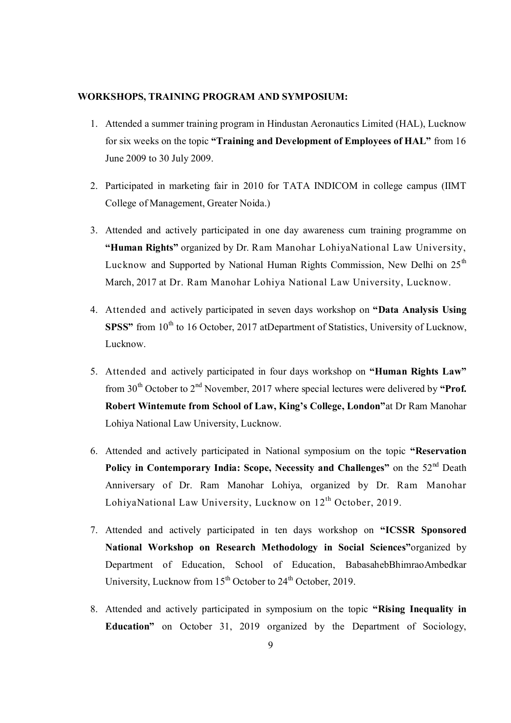#### **WORKSHOPS, TRAINING PROGRAM AND SYMPOSIUM:**

- 1. Attended a summer training program in Hindustan Aeronautics Limited (HAL), Lucknow for six weeks on the topic **"Training and Development of Employees of HAL"** from 16 June 2009 to 30 July 2009.
- 2. Participated in marketing fair in 2010 for TATA INDICOM in college campus (IIMT College of Management, Greater Noida.)
- 3. Attended and actively participated in one day awareness cum training programme on **"Human Rights"** organized by Dr. Ram Manohar LohiyaNational Law University, Lucknow and Supported by National Human Rights Commission, New Delhi on  $25<sup>th</sup>$ March, 2017 at Dr. Ram Manohar Lohiya National Law University, Lucknow.
- 4. Attended and actively participated in seven days workshop on **"Data Analysis Using SPSS**" from 10<sup>th</sup> to 16 October, 2017 atDepartment of Statistics, University of Lucknow, Lucknow.
- 5. Attended and actively participated in four days workshop on **"Human Rights Law"**  from 30<sup>th</sup> October to 2<sup>nd</sup> November, 2017 where special lectures were delivered by "**Prof. Robert Wintemute from School of Law, King's College, London"**at Dr Ram Manohar Lohiya National Law University, Lucknow.
- 6. Attended and actively participated in National symposium on the topic **"Reservation**  Policy in Contemporary India: Scope, Necessity and Challenges" on the 52<sup>nd</sup> Death Anniversary of Dr. Ram Manohar Lohiya, organized by Dr. Ram Manohar LohiyaNational Law University, Lucknow on  $12<sup>th</sup>$  October, 2019.
- 7. Attended and actively participated in ten days workshop on **"ICSSR Sponsored National Workshop on Research Methodology in Social Sciences"**organized by Department of Education, School of Education, BabasahebBhimraoAmbedkar University, Lucknow from  $15<sup>th</sup>$  October to  $24<sup>th</sup>$  October, 2019.
- 8. Attended and actively participated in symposium on the topic **"Rising Inequality in Education"** on October 31, 2019 organized by the Department of Sociology,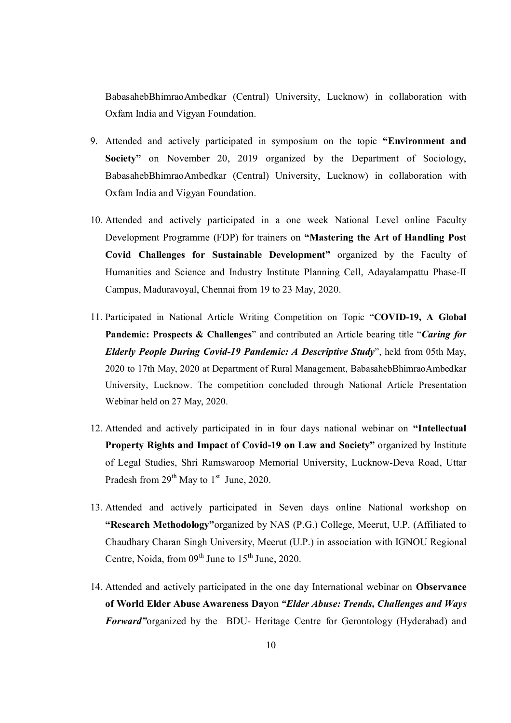BabasahebBhimraoAmbedkar (Central) University, Lucknow) in collaboration with Oxfam India and Vigyan Foundation.

- 9. Attended and actively participated in symposium on the topic **"Environment and Society"** on November 20, 2019 organized by the Department of Sociology, BabasahebBhimraoAmbedkar (Central) University, Lucknow) in collaboration with Oxfam India and Vigyan Foundation.
- 10. Attended and actively participated in a one week National Level online Faculty Development Programme (FDP) for trainers on **"Mastering the Art of Handling Post Covid Challenges for Sustainable Development"** organized by the Faculty of Humanities and Science and Industry Institute Planning Cell, Adayalampattu Phase-II Campus, Maduravoyal, Chennai from 19 to 23 May, 2020.
- 11. Participated in National Article Writing Competition on Topic "**COVID-19, A Global Pandemic: Prospects & Challenges**" and contributed an Article bearing title "*Caring for Elderly People During Covid-19 Pandemic: A Descriptive Study*", held from 05th May, 2020 to 17th May, 2020 at Department of Rural Management, BabasahebBhimraoAmbedkar University, Lucknow. The competition concluded through National Article Presentation Webinar held on 27 May, 2020.
- 12. Attended and actively participated in in four days national webinar on **"Intellectual Property Rights and Impact of Covid-19 on Law and Society"** organized by Institute of Legal Studies, Shri Ramswaroop Memorial University, Lucknow-Deva Road, Uttar Pradesh from  $29^{th}$  May to  $1^{st}$  June, 2020.
- 13. Attended and actively participated in Seven days online National workshop on **"Research Methodology"**organized by NAS (P.G.) College, Meerut, U.P. (Affiliated to Chaudhary Charan Singh University, Meerut (U.P.) in association with IGNOU Regional Centre, Noida, from  $09<sup>th</sup>$  June to  $15<sup>th</sup>$  June, 2020.
- 14. Attended and actively participated in the one day International webinar on **Observance of World Elder Abuse Awareness Day**on *"Elder Abuse: Trends, Challenges and Ways Forward"*organized by the BDU- Heritage Centre for Gerontology (Hyderabad) and